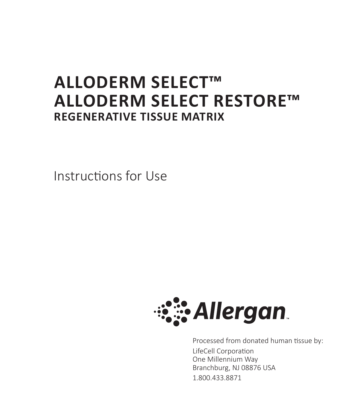# **ALLODERM SELECT™ ALLODERM SELECT RESTORE™ REGENERATIVE TISSUE MATRIX**

Instructions for Use



Processed from donated human tissue by: LifeCell Corporation One Millennium Way Branchburg, NJ 08876 USA 1.800.433.8871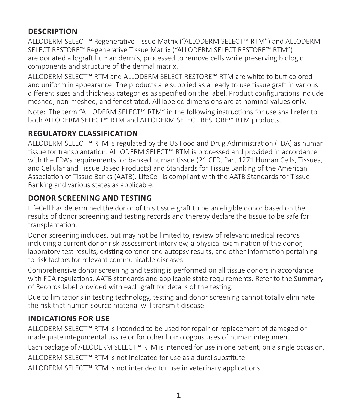# **DESCRIPTION**

ALLODERM SELECT™ Regenerative Tissue Matrix ("ALLODERM SELECT™ RTM") and ALLODERM SELECT RESTORE™ Regenerative Tissue Matrix ("ALLODERM SELECT RESTORE™ RTM") are donated allograft human dermis, processed to remove cells while preserving biologic components and structure of the dermal matrix.

ALLODERM SELECT™ RTM and ALLODERM SELECT RESTORE™ RTM are white to buff colored and uniform in appearance. The products are supplied as a ready to use tissue graft in various different sizes and thickness categories as specified on the label. Product configurations include meshed, non-meshed, and fenestrated. All labeled dimensions are at nominal values only.

Note: The term "ALLODERM SELECT™ RTM" in the following instructions for use shall refer to both ALLODERM SELECT™ RTM and ALLODERM SELECT RESTORE™ RTM products.

# **REGULATORY CLASSIFICATION**

ALLODERM SELECT™ RTM is regulated by the US Food and Drug Administration (FDA) as human tissue for transplantation. ALLODERM SELECT™ RTM is processed and provided in accordance with the FDA's requirements for banked human tissue (21 CFR, Part 1271 Human Cells, Tissues, and Cellular and Tissue Based Products) and Standards for Tissue Banking of the American Association of Tissue Banks (AATB). LifeCell is compliant with the AATB Standards for Tissue Banking and various states as applicable.

## **DONOR SCREENING AND TESTING**

LifeCell has determined the donor of this tissue graft to be an eligible donor based on the results of donor screening and testing records and thereby declare the tissue to be safe for transplantation.

Donor screening includes, but may not be limited to, review of relevant medical records including a current donor risk assessment interview, a physical examination of the donor, laboratory test results, existing coroner and autopsy results, and other information pertaining to risk factors for relevant communicable diseases.

Comprehensive donor screening and testing is performed on all tissue donors in accordance with FDA regulations, AATB standards and applicable state requirements. Refer to the Summary of Records label provided with each graft for details of the testing.

Due to limitations in testing technology, testing and donor screening cannot totally eliminate the risk that human source material will transmit disease.

# **INDICATIONS FOR USE**

ALLODERM SELECT™ RTM is intended to be used for repair or replacement of damaged or inadequate integumental tissue or for other homologous uses of human integument.

Each package of ALLODERM SELECT™ RTM is intended for use in one patient, on a single occasion.

ALLODERM SELECT™ RTM is not indicated for use as a dural substitute.

ALLODERM SELECT™ RTM is not intended for use in veterinary applications.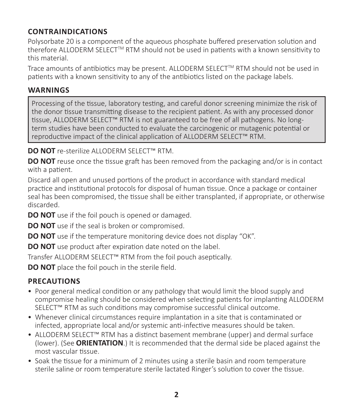# **CONTRAINDICATIONS**

Polysorbate 20 is a component of the aqueous phosphate buffered preservation solution and therefore ALLODERM SELECT<sup>™</sup> RTM should not be used in patients with a known sensitivity to this material.

Trace amounts of antibiotics may be present. ALLODERM SELECT™ RTM should not be used in patients with a known sensitivity to any of the antibiotics listed on the package labels.

#### **WARNINGS**

Processing of the tissue, laboratory testing, and careful donor screening minimize the risk of the donor tissue transmitting disease to the recipient patient. As with any processed donor tissue, ALLODERM SELECT™ RTM is not guaranteed to be free of all pathogens. No longterm studies have been conducted to evaluate the carcinogenic or mutagenic potential or reproductive impact of the clinical application of ALLODERM SELECT™ RTM.

**DO NOT** re-sterilize ALLODERM SELECT™ RTM.

**DO NOT** reuse once the tissue graft has been removed from the packaging and/or is in contact with a patient.

Discard all open and unused portions of the product in accordance with standard medical practice and institutional protocols for disposal of human tissue. Once a package or container seal has been compromised, the tissue shall be either transplanted, if appropriate, or otherwise discarded.

**DO NOT** use if the foil pouch is opened or damaged.

**DO NOT** use if the seal is broken or compromised.

**DO NOT** use if the temperature monitoring device does not display "OK".

**DO NOT** use product after expiration date noted on the label.

Transfer ALLODERM SELECT™ RTM from the foil pouch aseptically.

**DO NOT** place the foil pouch in the sterile field.

## **PRECAUTIONS**

- Poor general medical condition or any pathology that would limit the blood supply and compromise healing should be considered when selecting patients for implanting ALLODERM SELECT™ RTM as such conditions may compromise successful clinical outcome.
- Whenever clinical circumstances require implantation in a site that is contaminated or infected, appropriate local and/or systemic anti-infective measures should be taken.
- ALLODERM SELECT™ RTM has a distinct basement membrane (upper) and dermal surface (lower). (See **ORIENTATION**.) It is recommended that the dermal side be placed against the most vascular tissue.
- Soak the tissue for a minimum of 2 minutes using a sterile basin and room temperature sterile saline or room temperature sterile lactated Ringer's solution to cover the tissue.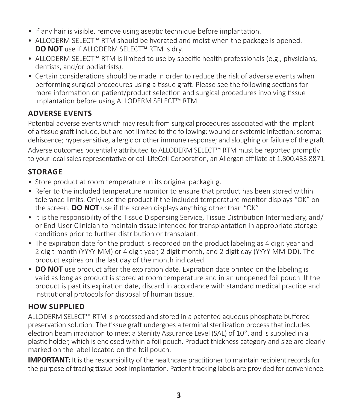- If any hair is visible, remove using aseptic technique before implantation.
- ALLODERM SELECT™ RTM should be hydrated and moist when the package is opened. **DO NOT** use if ALLODERM SELECT™ RTM is dry.
- ALLODERM SELECT™ RTM is limited to use by specific health professionals (e.g., physicians, dentists, and/or podiatrists).
- Certain considerations should be made in order to reduce the risk of adverse events when performing surgical procedures using a tissue graft. Please see the following sections for more information on patient/product selection and surgical procedures involving tissue implantation before using ALLODERM SELECT™ RTM.

#### **ADVERSE EVENTS**

Potential adverse events which may result from surgical procedures associated with the implant of a tissue graft include, but are not limited to the following: wound or systemic infection; seroma; dehiscence; hypersensitive, allergic or other immune response; and sloughing or failure of the graft.

Adverse outcomes potentially attributed to ALLODERM SELECT™ RTM must be reported promptly to your local sales representative or call LifeCell Corporation, an Allergan affiliate at 1.800.433.8871.

# **STORAGE**

- Store product at room temperature in its original packaging.
- Refer to the included temperature monitor to ensure that product has been stored within tolerance limits. Only use the product if the included temperature monitor displays "OK" on the screen. **DO NOT** use if the screen displays anything other than "OK".
- It is the responsibility of the Tissue Dispensing Service, Tissue Distribution Intermediary, and/ or End-User Clinician to maintain tissue intended for transplantation in appropriate storage conditions prior to further distribution or transplant.
- The expiration date for the product is recorded on the product labeling as 4 digit year and 2 digit month (YYYY-MM) or 4 digit year, 2 digit month, and 2 digit day (YYYY-MM-DD). The product expires on the last day of the month indicated.
- **DO NOT** use product after the expiration date. Expiration date printed on the labeling is valid as long as product is stored at room temperature and in an unopened foil pouch. If the product is past its expiration date, discard in accordance with standard medical practice and institutional protocols for disposal of human tissue.

## **HOW SUPPLIED**

ALLODERM SELECT™ RTM is processed and stored in a patented aqueous phosphate buffered preservation solution. The tissue graft undergoes a terminal sterilization process that includes electron beam irradiation to meet a Sterility Assurance Level (SAL) of  $10^{-3}$ , and is supplied in a plastic holder, which is enclosed within a foil pouch. Product thickness category and size are clearly marked on the label located on the foil pouch.

**IMPORTANT:** It is the responsibility of the healthcare practitioner to maintain recipient records for the purpose of tracing tissue post-implantation. Patient tracking labels are provided for convenience.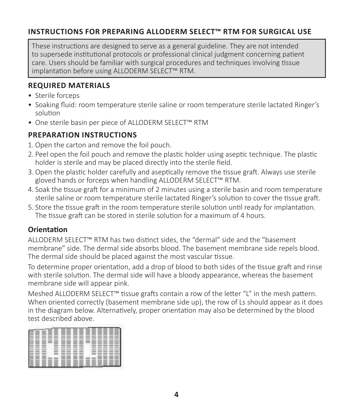## **INSTRUCTIONS FOR PREPARING ALLODERM SELECT™ RTM FOR SURGICAL USE**

These instructions are designed to serve as a general guideline. They are not intended to supersede institutional protocols or professional clinical judgment concerning patient care. Users should be familiar with surgical procedures and techniques involving tissue implantation before using ALLODERM SELECT™ RTM.

#### **REQUIRED MATERIALS**

- Sterile forceps
- Soaking fluid: room temperature sterile saline or room temperature sterile lactated Ringer's solution
- One sterile basin per piece of ALLODERM SELECT™ RTM

#### **PREPARATION INSTRUCTIONS**

- 1. Open the carton and remove the foil pouch.
- 2. Peel open the foil pouch and remove the plastic holder using aseptic technique. The plastic holder is sterile and may be placed directly into the sterile field.
- 3. Open the plastic holder carefully and aseptically remove the tissue graft. Always use sterile gloved hands or forceps when handling ALLODERM SELECT™ RTM.
- 4. Soak the tissue graft for a minimum of 2 minutes using a sterile basin and room temperature sterile saline or room temperature sterile lactated Ringer's solution to cover the tissue graft.
- 5. Store the tissue graft in the room temperature sterile solution until ready for implantation. The tissue graft can be stored in sterile solution for a maximum of 4 hours.

#### **Orientation**

ALLODERM SELECT™ RTM has two distinct sides, the "dermal" side and the "basement membrane" side. The dermal side absorbs blood. The basement membrane side repels blood. The dermal side should be placed against the most vascular tissue.

To determine proper orientation, add a drop of blood to both sides of the tissue graft and rinse with sterile solution. The dermal side will have a bloody appearance, whereas the basement membrane side will appear pink.

Meshed ALLODERM SELECT™ tissue grafts contain a row of the letter "I" in the mesh pattern. When oriented correctly (basement membrane side up), the row of Ls should appear as it does in the diagram below. Alternatively, proper orientation may also be determined by the blood test described above.

|              | __<br>__              | __<br>____                                                                                                                                                                                                                                                                                                                                                                                                                                                                                         |
|--------------|-----------------------|----------------------------------------------------------------------------------------------------------------------------------------------------------------------------------------------------------------------------------------------------------------------------------------------------------------------------------------------------------------------------------------------------------------------------------------------------------------------------------------------------|
| _            | __<br>_               | _<br>--                                                                                                                                                                                                                                                                                                                                                                                                                                                                                            |
|              | __<br>___             | ___<br>--                                                                                                                                                                                                                                                                                                                                                                                                                                                                                          |
|              |                       |                                                                                                                                                                                                                                                                                                                                                                                                                                                                                                    |
|              |                       |                                                                                                                                                                                                                                                                                                                                                                                                                                                                                                    |
| __<br>__     |                       | ---                                                                                                                                                                                                                                                                                                                                                                                                                                                                                                |
| ___          |                       | ---<br>--<br>$\overline{\phantom{a}}$                                                                                                                                                                                                                                                                                                                                                                                                                                                              |
|              |                       | London Commercial<br>--<br>____                                                                                                                                                                                                                                                                                                                                                                                                                                                                    |
|              |                       | sense sense sense sense<br>1000<br>some some state<br>$\sim$                                                                                                                                                                                                                                                                                                                                                                                                                                       |
| - - -        | -<br>=                | <b>COLOR CONTRACTOR</b><br>$\cdots$<br>____<br>$-$                                                                                                                                                                                                                                                                                                                                                                                                                                                 |
|              |                       | ____<br>____                                                                                                                                                                                                                                                                                                                                                                                                                                                                                       |
| <b>STATE</b> | ---<br>$-$            | some some some<br>$\frac{1}{2} \left( \frac{1}{2} \right) \left( \frac{1}{2} \right) \left( \frac{1}{2} \right) \left( \frac{1}{2} \right) \left( \frac{1}{2} \right) \left( \frac{1}{2} \right) \left( \frac{1}{2} \right) \left( \frac{1}{2} \right) \left( \frac{1}{2} \right) \left( \frac{1}{2} \right) \left( \frac{1}{2} \right) \left( \frac{1}{2} \right) \left( \frac{1}{2} \right) \left( \frac{1}{2} \right) \left( \frac{1}{2} \right) \left( \frac{1}{2} \right) \left( \frac$<br>__ |
|              |                       | --                                                                                                                                                                                                                                                                                                                                                                                                                                                                                                 |
| __           | ___<br>_<br>__<br>___ | --<br>__<br>-<br>__                                                                                                                                                                                                                                                                                                                                                                                                                                                                                |
|              |                       |                                                                                                                                                                                                                                                                                                                                                                                                                                                                                                    |
|              |                       |                                                                                                                                                                                                                                                                                                                                                                                                                                                                                                    |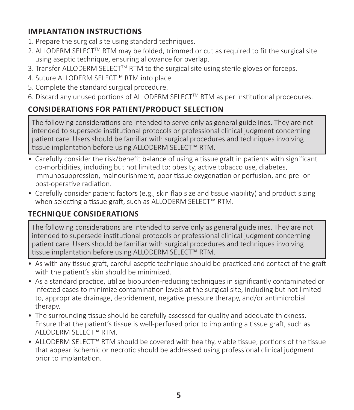## **IMPLANTATION INSTRUCTIONS**

- 1. Prepare the surgical site using standard techniques.
- 2. ALLODERM SELECT<sup>IM</sup> RTM may be folded, trimmed or cut as required to fit the surgical site using aseptic technique, ensuring allowance for overlap.
- 3. Transfer ALLODERM SELECTTM RTM to the surgical site using sterile gloves or forceps.
- 4. Suture ALLODERM SELECT™ RTM into place.
- 5. Complete the standard surgical procedure.
- 6. Discard any unused portions of ALLODERM SELECT<sup>TM</sup> RTM as per institutional procedures.

# **CONSIDERATIONS FOR PATIENT/PRODUCT SELECTION**

The following considerations are intended to serve only as general guidelines. They are not intended to supersede institutional protocols or professional clinical judgment concerning patient care. Users should be familiar with surgical procedures and techniques involving tissue implantation before using ALLODERM SELECT™ RTM.

- Carefully consider the risk/benefit balance of using a tissue graft in patients with significant co-morbidities, including but not limited to: obesity, active tobacco use, diabetes, immunosuppression, malnourishment, poor tissue oxygenation or perfusion, and pre- or post-operative radiation.
- Carefully consider patient factors (e.g., skin flap size and tissue viability) and product sizing when selecting a tissue graft, such as ALLODERM SELECT™ RTM.

# **TECHNIQUE CONSIDERATIONS**

The following considerations are intended to serve only as general guidelines. They are not intended to supersede institutional protocols or professional clinical judgment concerning patient care. Users should be familiar with surgical procedures and techniques involving tissue implantation before using ALLODERM SELECT™ RTM.

- As with any tissue graft, careful aseptic technique should be practiced and contact of the graft with the patient's skin should be minimized.
- As a standard practice, utilize bioburden-reducing techniques in significantly contaminated or infected cases to minimize contamination levels at the surgical site, including but not limited to, appropriate drainage, debridement, negative pressure therapy, and/or antimicrobial therapy.
- The surrounding tissue should be carefully assessed for quality and adequate thickness. Ensure that the patient's tissue is well-perfused prior to implanting a tissue graft, such as ALLODERM SELECT™ RTM.
- ALLODERM SELECT™ RTM should be covered with healthy, viable tissue; portions of the tissue that appear ischemic or necrotic should be addressed using professional clinical judgment prior to implantation.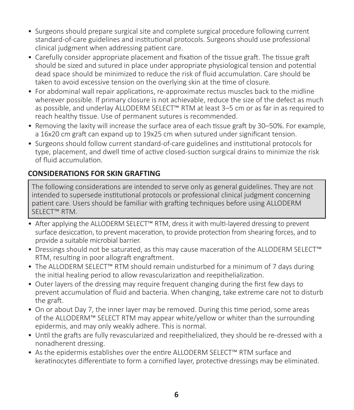- Surgeons should prepare surgical site and complete surgical procedure following current standard-of-care guidelines and institutional protocols. Surgeons should use professional clinical judgment when addressing patient care.
- Carefully consider appropriate placement and fixation of the tissue graft. The tissue graft should be sized and sutured in place under appropriate physiological tension and potential dead space should be minimized to reduce the risk of fluid accumulation. Care should be taken to avoid excessive tension on the overlying skin at the time of closure.
- For abdominal wall repair applications, re-approximate rectus muscles back to the midline wherever possible. If primary closure is not achievable, reduce the size of the defect as much as possible, and underlay ALLODERM SELECT™ RTM at least 3–5 cm or as far in as required to reach healthy tissue. Use of permanent sutures is recommended.
- Removing the laxity will increase the surface area of each tissue graft by 30–50%. For example, a 16x20 cm graft can expand up to 19x25 cm when sutured under significant tension.
- Surgeons should follow current standard-of-care guidelines and institutional protocols for type, placement, and dwell time of active closed-suction surgical drains to minimize the risk of fluid accumulation.

#### **CONSIDERATIONS FOR SKIN GRAFTING**

The following considerations are intended to serve only as general guidelines. They are not intended to supersede institutional protocols or professional clinical judgment concerning patient care. Users should be familiar with grafting techniques before using ALLODERM SELECT™ RTM.

- After applying the ALLODERM SELECT™ RTM, dress it with multi-layered dressing to prevent surface desiccation, to prevent maceration, to provide protection from shearing forces, and to provide a suitable microbial barrier.
- Dressings should not be saturated, as this may cause maceration of the ALLODERM SELECT™ RTM, resulting in poor allograft engraftment.
- The ALLODERM SELECT™ RTM should remain undisturbed for a minimum of 7 days during the initial healing period to allow revascularization and reepithelialization.
- Outer layers of the dressing may require frequent changing during the first few days to prevent accumulation of fluid and bacteria. When changing, take extreme care not to disturb the graft.
- On or about Day 7, the inner layer may be removed. During this time period, some areas of the ALLODERM™ SELECT RTM may appear white/yellow or whiter than the surrounding epidermis, and may only weakly adhere. This is normal.
- Until the grafts are fully revascularized and reepithelialized, they should be re-dressed with a nonadherent dressing.
- As the epidermis establishes over the entire ALLODERM SELECT™ RTM surface and keratinocytes differentiate to form a cornified layer, protective dressings may be eliminated.